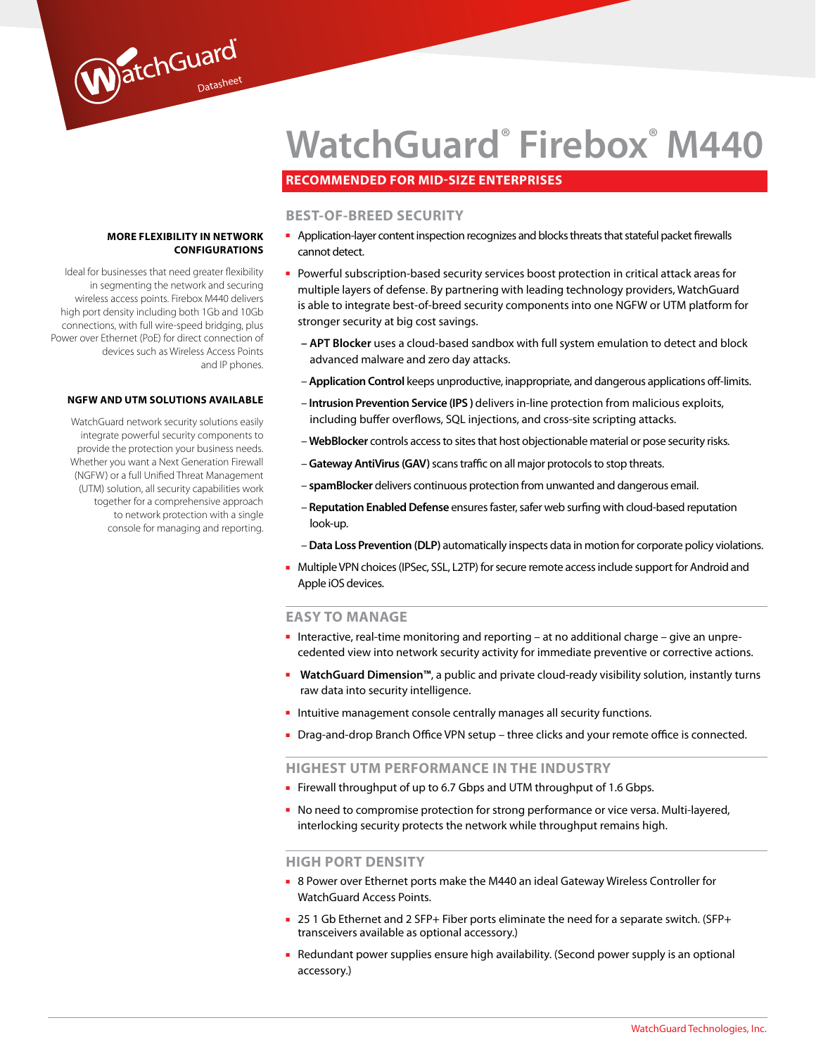

# **Recommended for mid-size enterprises**

## **BEST-OF-BREED SECURITY**

- Application-layer content inspection recognizes and blocks threats that stateful packet firewalls cannot detect.
- Powerful subscription-based security services boost protection in critical attack areas for multiple layers of defense. By partnering with leading technology providers, WatchGuard is able to integrate best-of-breed security components into one NGFW or UTM platform for stronger security at big cost savings.
	- **APT Blocker** uses a cloud-based sandbox with full system emulation to detect and block advanced malware and zero day attacks.
	- **Application Control** keeps unproductive, inappropriate, and dangerous applications off-limits.
	- **Intrusion Prevention Service (IPS )** delivers in-line protection from malicious exploits, including buffer overflows, SQL injections, and cross-site scripting attacks.
	- **WebBlocker** controls access to sites that host objectionable material or pose security risks.
	- **Gateway AntiVirus (GAV)** scans traffic on all major protocols to stop threats.
	- **spamBlocker** delivers continuous protection from unwanted and dangerous email.
	- **Reputation Enabled Defense** ensures faster, safer web surfing with cloud-based reputation look-up.
	- **Data Loss Prevention (DLP)** automatically inspects data in motion for corporate policy violations.
- Multiple VPN choices (IPSec, SSL, L2TP) for secure remote access include support for Android and Apple iOS devices.

#### **EASY TO MANAGE**

- Interactive, real-time monitoring and reporting at no additional charge give an unprecedented view into network security activity for immediate preventive or corrective actions.
- **WatchGuard Dimension™**, a public and private cloud-ready visibility solution, instantly turns raw data into security intelligence.
- Intuitive management console centrally manages all security functions.
- Drag-and-drop Branch Office VPN setup three clicks and your remote office is connected.

#### **HIGHEST UTM PERFORMANCE IN THE INDUSTRY**

- Firewall throughput of up to 6.7 Gbps and UTM throughput of 1.6 Gbps.
- No need to compromise protection for strong performance or vice versa. Multi-layered, interlocking security protects the network while throughput remains high.

#### **HIGH PORT DENSITY**

- 8 Power over Ethernet ports make the M440 an ideal Gateway Wireless Controller for WatchGuard Access Points.
- 25 1 Gb Ethernet and 2 SFP+ Fiber ports eliminate the need for a separate switch. (SFP+ transceivers available as optional accessory.)
- Redundant power supplies ensure high availability. (Second power supply is an optional accessory.)

## **More flexibility in network configura tions**

Ideal for businesses that need greater flexibility in segmenting the network and securing wireless access points. Firebox M440 delivers high port density including both 1Gb and 10Gb connections, with full wire-speed bridging, plus Power over Ethernet (PoE) for direct connection of devices such as Wireless Access Points and IP phones.

WatchGuard

#### **NGFW and UTM Solutions available**

WatchGuard network security solutions easily integrate powerful security components to provide the protection your business needs. Whether you want a Next Generation Firewall (NGFW) or a full Unified Threat Management (UTM) solution, all security capabilities work together for a comprehensive approach to network protection with a single console for managing and reporting.